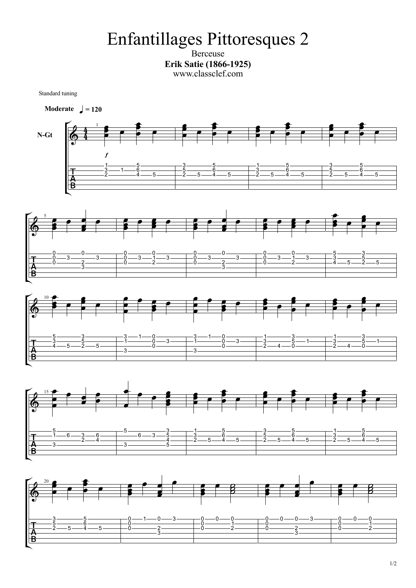## Enfantillages Pittoresques 2

Berceuse **Erik Satie (1866-1925)** www.classclef.com

Standard tuning